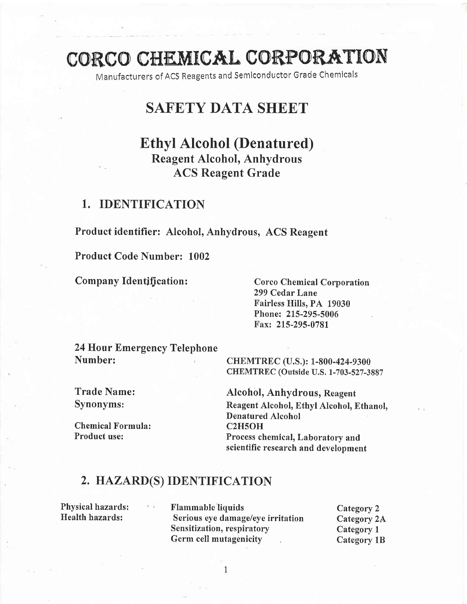# CORCO CHEMICAL CORPORATION

Manufacturers of ACS Reagents and Semlconductor Grade Chemlcals

# SAFETY DATA SHEET

# Ethyl Alcohol (Denatured) Reagent Alcohol, Anhydrous ACS Reagent Grade

### 1. IDENTIFICATION

Product identifier: Alcohol, Anhydrous, ACS Reagent

Product Code Number: 1002

Company Identification:

Corco Chemical Corporation 299 Cedar Lane Fairless Hills, PA 19030 Phone: 215-295-5006 Fax: 215-295-0781

24 Hour Emergency Telephone Number: ,

CHEMTREC (U.S.): 1-800-424-9300 CHEMTREC (Outside U.S. 1-703-527-3887

Trade Name: Synonyms:

Chemical Formula: Product use:

Alcohol, Anhydrous, Reagent Reagent Alcohol, Ethyl Alcohol, Ethanol, Denatured Alcohol C2H5OH Process chemical, Laboratory and scientific research and development

### 2. HAZARD(S) IDENTIFICATION

Physical hazards: Health hazards:

Flammable'liquids Serious eye damage/eye irritation Sensitization, respiratory Germ cell mutagenicity

Category 2 Category 2A Category <sup>L</sup> Category 18

1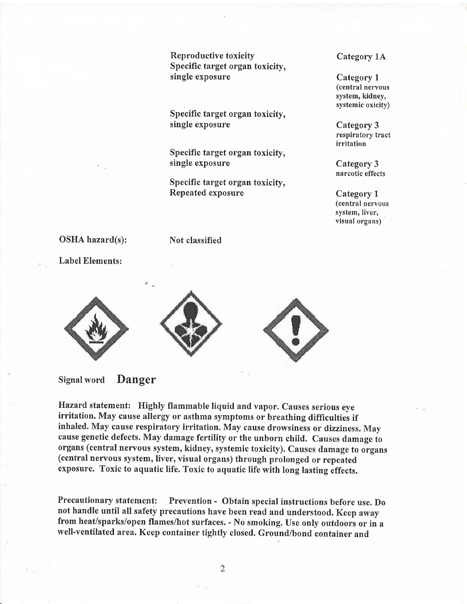Reproductive toxicity Specific target organ toxicity, single exposure

Specific target organ toxicity, single exposure

Specific target organ toxicity, single exposure

Specific target organ toxicity. Repeated exposure

Category 1A

Category <sup>1</sup> (central neryous system, kidney, systemic oxicity)

Category 3 respiratory tract irritation

Category 3 narcotic effects

Category <sup>1</sup> (central nervous system, liver, visual organs)

#### OSHA hazard(s):

Label Elements:





Not classified



#### Signal word Danger

Hazard statement: Highly flammable liquid and vapor. Causes serious eye irritation. May cause allergy or asthma symptoms or breathing difficulties if inhaled. May cause respiratory irritation. May cause drowsiness or dizziness. May cause genetic defects. May damage fertility or the unborn child. Causes damage to organs (central neryous system, kidney, systemic toxicity). Causes damage to organs (central neryous system, liver, visual organs) through prolonged or repeated exposure. Toxic to aquatic life. Toxic to aquatic life with long lasting effects.

Precautionary statement: Prevention - Obtain special instructions before use. Do not handle until all safety precautions have been read and understood. Keep away from heat/sparks/open flames/hot surfaces. - No smoking. Use only outdoors or in <sup>a</sup> well-ventilated area. Keep container tightly closed. Ground/bond container and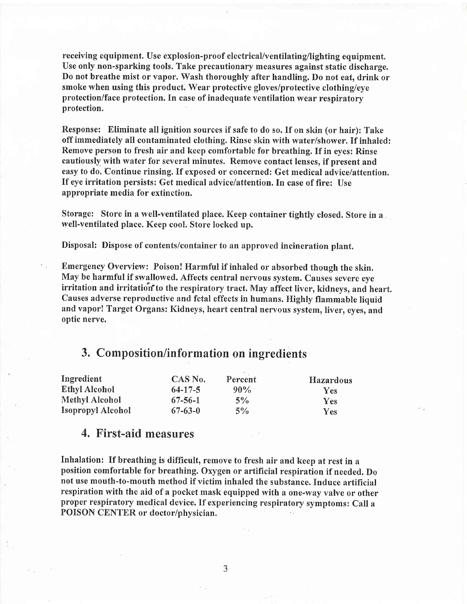receiving equipment. Use explosion-proof electrical/ventilating/lighting equipment. Use only non-sparking tools. Take precautionary measures against static discharge. Do not breathe mist or vapor. Wash thoroughly after handling. Do not eat, drink or smoke when using this product. Wear protective gloves/protective clothing/eye protection/face protection. In case of inadequate ventilation wear respiratory protection.

Response: Eliminate all ignition sources if safe to do so. If on skin (or hair): Take off immediately all contaminated clothing. Rinse skin with water/shower, If inhaled: Remove person to fresh air and keep comfortable for breathing. If in eyes: Rinse cautiously with water for several minutes. Remove contact lenses, if present and easy to do. Continue rinsing. If exposed or concerned: Get medical advice/attention. If eye irritation persists: Get medical advice/attention. In case of fire: Use appropriate media for extinction.

Storage: Store in a well-ventilated place. Keep container tightly closed. Store in <sup>a</sup> well-ventilated place. Keep cool. Store locked up.

Disposal: Dispose of contents/container to an approved incineration plant.

Emergency Overview: Poison! Harmful if inhaled or absorbed though the skin. May be harmful if swallowed. Affects central nervous system. Causes severe eye irritation and irritation to the respiratory tract. May affect liver, kidneys, and heart. Causes adverse reproductive and fetal effects in humans. Highly flammable liquid and vapor! Target Organs: Kidneys, heart central nervous system, liver, eyes, and optic nerve,

### 3. Composition/information on ingredients

| Ingredient           | CAS No.       | Percent | <b>Hazardous</b> |
|----------------------|---------------|---------|------------------|
| <b>Ethyl Alcohol</b> | $64 - 17 - 5$ | $90\%$  | <b>Yes</b>       |
| Methyl Alcohol       | $67 - 56 - 1$ | $5\%$   | <b>Yes</b>       |
| Isopropyl Alcohol    | $67 - 63 - 0$ | $5\%$   | <b>Yes</b>       |

### 4. First-aid measures

Inhalation: If breathing is difficult, remove to fresh air and keep at rest in <sup>a</sup> position comfortable for breathing. Oxygen or artificial respiration if needed. Do not use mouth-to-mouth method if victim inhaled the substance. Induce artificial respiration with the aid of a pocket mask equipped with a one-way valve or other proper respiratory medical device. If experiencing respiratory symptoms: Call <sup>a</sup> POISON CENTER or doctor/physician.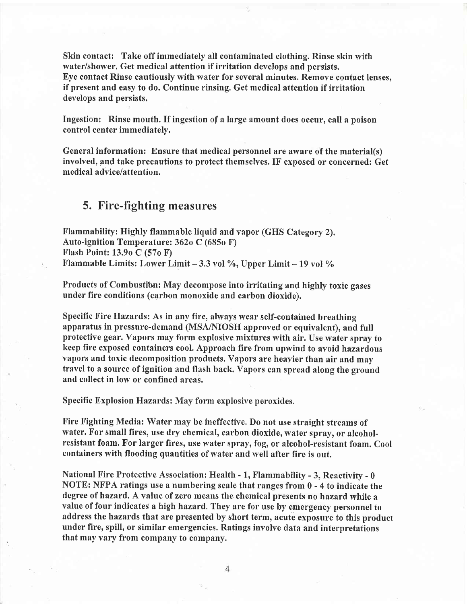Skin contact: Take off immediately all contaminated clothing. Rinse skin with water/shower. Get medical attention if irritation develops and persists. Eye contact Rinse cautiously with water for several minutes. Remove contact lenses, if present and easy to do. Continue rinsing. Get medical attention if irritation develops and persists.

Ingestion: Rinse mouth. If ingestion of a large amount does occur, call a poison control center immediately.

General information: Ensure that medical personnel are aware of the material(s) involved, pnd take precautions to protect themselves. IF exposed or concerned: Get medical advice/attention.

### 5. Fire-fighting measures

Flammability: Highly flammable liquid and vapor (GHS Category 2), Auto-ignition Temperature: 362o C (685o F) Flash Point: 13.9o C (57o F) Flammable Limits: Lower Limit - 3.3 vol %, Upper Limit - 19 vol %

Products of Combustion: May decompose into irritating and highly toxic gases under fire conditions (carbon monoxide and carbon dioxide).

Specific Fire Hazards: As in any fire, always wear self-contained breathing apparatus in pressure-demand (MSA/NIOSH approved or equivalent), and full protective gear. Vapors may form explosive mixtures with air. Use water spray to keep fire exposed containers cool. Approach fire from upwind to avoid hazardous Yapors and toxic decomposition products. Vapors are heavier than air and may travel to a source of ignition and flash back. Vapors can spread along the ground and collect in low or confined areas.

Specific Explosion Hazards: May form explosive peroxides,

Fire Fighting Media: Water may be ineffective. Do not use straight streams of water. For small fires, use dry chemical, carbon dioxide, water spray, or alcoholresistant foam. For larger fires, use water spray, fog, or alcohol-resistant foam. Cool containers with flooding quantities of water and well after fire is out.

National Fire Protective Association: Health - 1, Flammability - 3, Reactivity - <sup>0</sup> NOTE: NFPA ratings use a numbering scale that ranges from 0 - 4 to indicate the degree of hazard. A value of zero means the chemical presents no hazard while <sup>a</sup> value of four indicates a high hazard. They are for use by emergency personnel to address the hazards that are presented by short term, acute exposure to this product under fire, spill, or similar emergencies. Ratings involve data and interpretations that may vary from company to company.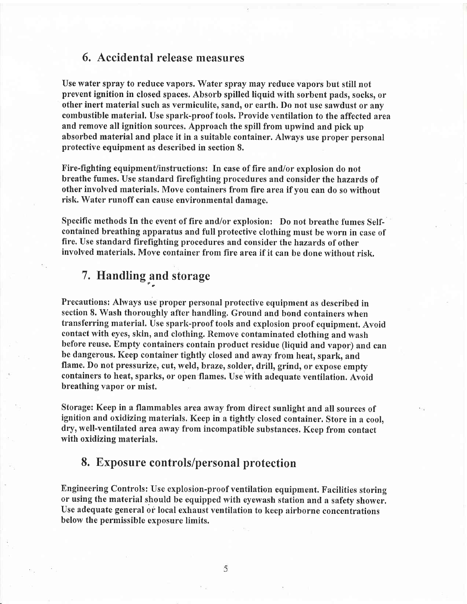### 6. Accidental release measures

Use water spray to reduce vapors. Water spray may reduce vapors but still not prevent ignition in closed spaces. Absorb spilled liquid with sorbent pads, socks, or other inert material such as vermiculite, sand, or earth. Do not use sawdust or any combustible material. Use spark-proof tools. Provide ventilation to the affected area and remove all ignition sources. Approach the spill from upwind and pick up absorbed material and place it in a suitable container. Always use proper personal protective equipment as described in section 8.

Fire-fighting equipment/instructions: In case of fire and/or explosion do not breathe fumes. Use standard firefighting procedures and consider the hazards of other involved materials. Move containers from fire area if vou can do so without risk, Water runoff can cause environmental damage.

Specific methods In the event of fire and/or explosion: Do not breathe fumes Selfcontained breathing apparatus and full protective clothing must be worn in case of fire. Use standard firefighting procedures and consider the hazards of other involved materials. Move container from fire area if it can be done without risk.

# 7. Handling and storage

Precautions: Always use proper personal protective equipment as described in section 8. Wash thoroughly after handling. Ground and bond containers when transferring material. Use spark-proof tools and explosion proof equipment. Avoid contact with eyes, skin, and clothing. Remove contaminated clothing and wash before reuse. Empty containers contain product residue (liquid and vapor) and can be dangerous. Keep container tightly closed and away from heat, spark, and flame. Do not pressurize, cut, weld, braze, solder, drill, grind, or expose empty containers to heat, sparks, or open flames. Use with adequate ventilation. Avoid breathing vapor or mist.

Storage: Keep in a flammables area away from direct sunlight and all sources of ignition and oxidizing materials. Keep in a tightly closed container. Store in a cool, dry, well-ventilated area away from incompatible substances. Keep from contact with oxidizing materials.

### 8. Exposure controls/personal protection

Engineering Controls: Use explosion-proof ventilation equipment. Facilities storing or using the material should be equipped with eyewash station and a safety shower, Use adequate general or local exhaust ventilation to keep airborne concentrations below the permissible exposure limits.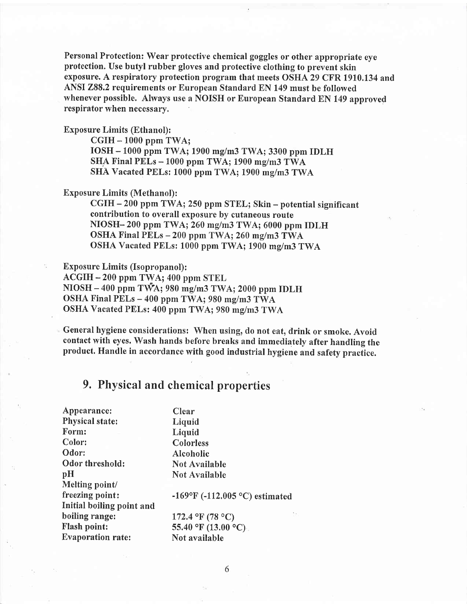Personal Protection: Wear protective chemical goggles or other appropriate eye protection. Use butyl rubber gloves and protective clothing to prevent skin exposure. A respiratory protection programthat meets OSHA 29 CFR 1910.134 and ANSI 288,2 requirements or European Standard EN 149 must be followed whenever possible. Always use a NOISH or European Standard EN 149 approved respirator when necessary,

Exposure Limits (Ethanol):

 $CGIH - 1000$  ppm TWA; IOSH - 1000 ppm TWA; 1900 mg/m3 TWA; 3300 ppm IDLH SHA Final PELs  $-1000$  ppm TWA; 1900 mg/m3 TWA SHA Vacated PELs: 1000 ppm TWA; 1900 mg/m3 TWA

#### Exposure Limits (Methanol):

CGIH - 200 ppm TWA; 250 ppm STEL; Skin - potential significant contribution to overall exposure by cutaneous route  $NIOSH-200$  ppm TWA;  $260$  mg/m3 TWA;  $6000$  ppm IDLH OSHA Final PELs - 200 ppm TWA; 260 mg/m3 TWA OSHA Vacated PELs: 1000 ppm TWA; 1900 mg/m3 TWA

Exposure Limits (Isopropanol):

,

ACGIH - 200 ppm TWA; 400 ppm STEL

 $NIOSH - 400$  ppm T $\tilde{WA}$ ; 980 mg/m3 TWA; 2000 ppm IDLH

OSHA Final PELs - 400 ppm TWA; 980 mg/m3 TWA

OSHA Vacated PELs: 400 ppm TWA; 980 mg/m3 TWA

General hygiene considerations: When using, do not eat, drink or smoke. Avoid contact with eyes. Wash hands before breaks and immediately after handling the product. Handle in accordance with good industrial hygiene and safety practice.

# 9, Physical and chemical properties

| Appearance:               | Clear                          |
|---------------------------|--------------------------------|
| <b>Physical state:</b>    | Liquid                         |
| Form:                     | Liquid                         |
| Color:                    | Colorless                      |
| Odor:                     | Alcoholic                      |
| Odor threshold:           | Not Available                  |
| pH                        | <b>Not Available</b>           |
| Melting point/            |                                |
| freezing point:           | -169°F (-112.005 °C) estimated |
| Initial boiling point and |                                |
| boiling range:            | 172.4 °F (78 °C)               |
| <b>Flash point:</b>       | 55.40 °F (13.00 °C).           |
| <b>Evaporation rate:</b>  | Not available                  |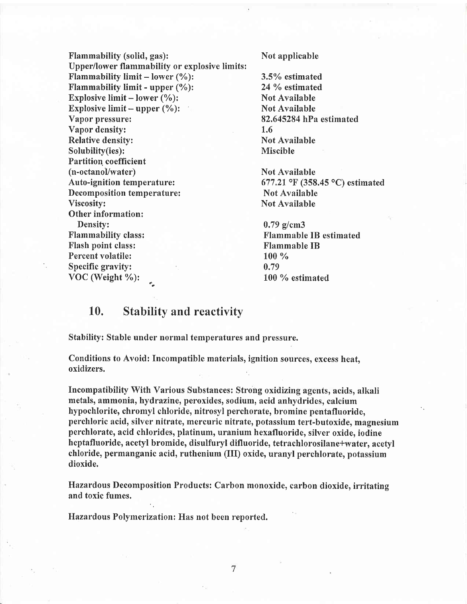Flammability (solid, gas): Not applicable Upper/lower flammability or explosive limits: Flammability limit – lower  $(\%)$ :<br>
Flammability limit - upper  $(\%)$ :<br>
24 % estimated Flammability limit - upper  $(\%)$ : Explosive limit – lower (%):<br>
Explosive limit – upper (%): Explosive limit -- upper (%):<br>Vapor pressure: Vapor density: 1.6 Relative density: Not Available Solubility(ies): Miscible Partition coefficient (n-octanol/water) Not Available Auto-ignition temperature: 671,21oF (358.45 oC) estimated Decomposition temperature:<br>Viscosity: Other information: Density: 0.79 g/cm3<br>
Flammability class: 1988 Flammability class: 1988 Flammability Planmability Planmability Planmability Planmability Planmability Planmability Planmability Planmability Planmability Planmability Planmabi Flash point class:<br>Percent volatile: The IB and IB and IB and IB and IB and IB and IB and IB and IB and IB and IB and IB and IB and IB and IB and IB and IB and IB and IB and IB and IB and IB and IB and IB and IB and IB and Percent volatile: Specific gravity: 0.79 VOC (Weight  $\%$ ):  $100\%$  estimated

82.645284 hPa estimated

Not Available

Flammable IB estimated<br>Flammable IB

### 10. Stability and reactivity

Stability: Stable under normal temperatures and pressure.

Conditions to Avoid: Incompatible materials, ignition sources, excess heat, oxidizers.

Incompatibility With Various Substances: Strong oxidizing agents, acids, alkali metals, ammonia, hydrazine, peroxides, sodium, acid anhydrides, calcium hypochlorite, chromyl chloride, nitrosyl perchorate, bromine pentafluoride, perchloric acid, silver nitrate, mercuric nitrate, potassium tert-butoxide, magnesium perchlorate, acid chlorides, platinum, uranium hexafluoride, silver oxide, iodine heptafluoride, acetyl bromide, disulfuryl difluoride, tetrachlorosilane+water, acetyl chloride, permanganic acid, ruthenium (III) oxide, uranyl perchlorate, potassium dioxide.

Hazardous Decomposition Products: Carbon monoxide, carbon dioxide, irritating and toxic fumes.

Hazardous Polymerization: Has not been reported.

 $\overline{7}$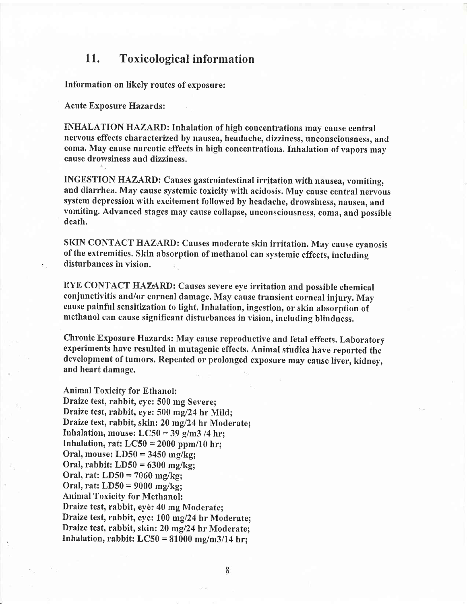### 11. Toxicological information

Information on likely routes of exposure:

Acute Exposure Hazards:

INHALATION HAZARD: Inhalation of high concentrations may cause central nervous effects characterized by nausea, headache, dizziness, unconsciousness, and coma. May cause narcotic effects in high concentrations.Inhalation of vapors may cause drowsiness and dizziness.

INGESTION HAZARD: Causes gastrointestinal irritation with nausea, vomiting, and diarrhea. May cause systemic toxicity with acidosis. May cause central nervous system depression with excitement followed by headache, drowsiness, nausea, and vomiting. Advanced stages may cause collapse, unconsciousness, coma, and possible death.

SKIN CONTACT HAZARD: Causes moderate skin irritation. May cause cyanosis of the extremities. Skin absorption of methanol can systemic effects, including disturbances in vision.

EYE CONTACT HAZARD: Causes severe eye irritation and possible chemical conjunctivitis and/or corneal damage. May cause transient corneal injury. May cause painful sensitization to light. Inhalation, ingestion, or skin absorption of methanol can cause significant disturbances in vision, including blindness.

Chronic Exposure Hazards: May cause reproductive and fetal effects. Laboratory experiments have resulted in mutagenic effects, Animal studies have reported the development of tumors. Repeated or prolonged exposure may cause liver, kidney, and heart damage.

Animal Toxicity for Ethanol: Draize test, rabbit, eye: 500 mg Severe; Draize test, rabbit, eye: 500 mg/24 hr Mild; Draize test, rabbit, skin: 20 mg/24 hr Moderate; Inhalation, mouse:  $LC50 = 39$  g/m3 /4 hr; Inhalation, rat:  $LC50 = 2000$  ppm/10 hr; Oral, mouse: LD50 = 3450 mg/kg; Oral, rabbit:  $LD50 = 6300$  mg/kg; Oral, rat: LD50 = 7060 mg/kg;

Oral, rat: LD50 = 9000 mg/kg; Animal Toxicity for Methanol: Draize test, rabbit, eyé: 40 mg Moderate; Draize test, rabbit, eye: 100 mg/24 hr Moderate; Draize test, rabbit, skin: 20 mg/24 hr Moderate; Inhalation, rabbit:  $LC50 = 81000$  mg/m3/14 hr;

8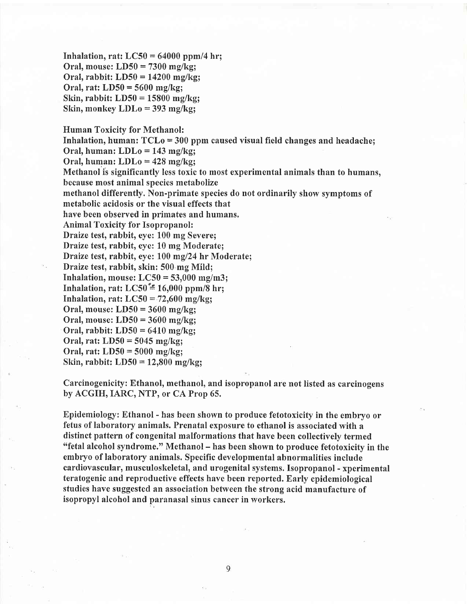Inhalation, rat;  $LC50 = 64000$  ppm/4 hr; Oral, mouse: LD50 = 7300 mg/kg; Oral, rabbit: LD50 = 14200 mg/kg; Oral, rat: LD50 = 5600 mg/kg; Skin, rabbit: LD50 = 15800 mg/kg; Skin, monkey LDLo = 393 mg/kg;

Human Toxicity for Methanol: Inhalation, human:  $TCLo = 300$  ppm caused visual field changes and headache; Oral, human: LDLo = 143 mg/kg; Oral, human: LDLo = 428 mg/kg; Methanol is significantly less toxic to most experimental animals than to humans, because most animal species metabolize methanol differently. Non-primate species do not ordinarily show symptoms of metabolic acidosis or the visual effects that have been observed in primates and humans, Animal Toxicity for Isopropanol: Draize test, rabbit, eye: 100 mg Severe; Draize test, rabbit, eye: 10 mg Moderate; Draize test, rabbit, eye: 100 mg/24 hr Moderate; Draize test, rabbit, skin: 500 mg Mild; Inhalation, mouse:  $LC50 = 53,000$  mg/m3; Inhalation, rat: LC50 $\stackrel{\text{*}}{=}$  16,000 ppm/8 hr; Inhalation, rat:  $LC50 = 72{,}600$  mg/kg; Oral, mouse:  $LD50 = 3600$  mg/kg; Oral, mouse: LD50 = 3600 mg/kg; Oral, rabbit:  $LD50 = 6410$  mg/kg; Oral, rat:  $LD50 = 5045$  mg/kg; Oral, rat:  $LD50 = 5000$  mg/kg; Skin, rabbit: LD50 = 12,800 mg/kg;

Carcinogenicity: Ethanol, methanol, and isopropanol are not listed as carcinogens by ACGIH, IARC, NTP, or CA Prop 65.

Epidemiology: Ethanol - has been shown to produce fetotoxicity in the embryo or fetus of laboratory animals. Prenatal exposure to ethanol is associated with <sup>a</sup> distinct pattern of congenital malformations that have been collectively termed<br>"fetal alcohol syndrome." Methanol – has been shown to produce fetotoxicity in the embryo of laboratory animals. Specific developmental abnormalities include cardiovascular, musculoskeletal, and urogenital systems. Isopropanol - xperimental teratogenic and reproductive effects have been reported. Early epidemiological studies have suggested an association between the strong acid manufacture of isopropyl alcohol and paranasal sinus cancer in workers,

9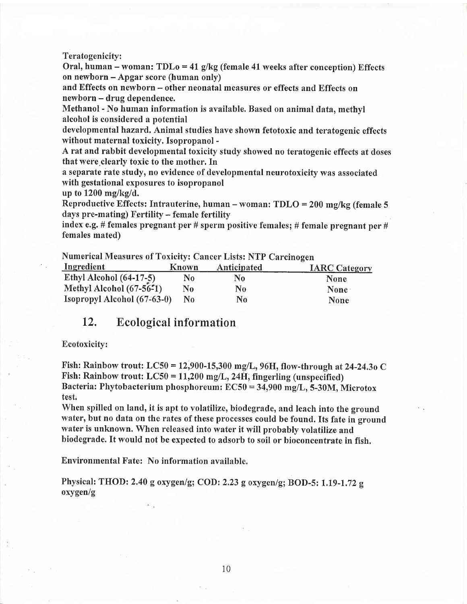#### Teratogenicity:

Oral, human – woman:  $TDLo = 41$  g/kg (female 41 weeks after conception) Effects on newborn - Apgar score (human only)

and Effects on newborn - other neonatal measures or effects and Effects on newborn - drug dependence.

Methanol - No human information is available. Based on animal data, methyl alcohol is considered a potential

developmental hazard. Animal studies have shown fetotoxic and teratogenic effects without maternal toxicity. Isopropanol -

Arat and rabbit developmental toxicity study showed no teratogenic effects at doses that were clearly toxic to the mother. In

a separate rate study, no evidence of developmental neurotoxicity was associated with gestational exposures to isopropanol

up to 1200 mg/kg/d.

Reproductive Effects: Intrauterine, human - woman: TDLO = 200 mg/kg (female <sup>5</sup> days pre-mating) Fertility - female fertility

index e.g. # females pregnant per # sperm positive females; # female pregnant per # females mated)

Numerical Measures of Toxicity: Cancer Lists: NTP Carcinogen

| Ingredient                  | Known    | Anticipated    | <b>IARC Category</b> |
|-----------------------------|----------|----------------|----------------------|
| Ethyl Alcohol $(64-17-5)$   | N0       | No             | None                 |
| Methyl Alcohol (67-56-1)    | $\bf No$ | N <sub>0</sub> | None <sup>®</sup>    |
| Isopropyl Alcohol (67-63-0) | No.      | N0             | <b>None</b>          |

### 12. Ecological information

#### Ecotoxicity:

Fish: Rainbow trout: LC50 = 12,900-15,300 mg/L, 96H, flow-through at 24-24,30 C Fish: Rainbow trout:  $LC50 = 11{,}200$  mg/L, 24H, fingerling (unspecified) Bacteria: Phytobacterium phosphoreum:  $EC50 = 34,900$  mg/L, 5-30M, Microtox test.

When spilled on land, it is apt to volatilize, biodegrade, and leach into the ground water, but no data on the rates of these processes could be found. Its fate in ground water is unknown. When released into water it will probably volatilize and biodegrade. It would not be expected to adsorb to soil or bioconcentrate in fish.

Environmental Fate: No information available.

Physical: THOD: 2.40 g oxygen/g; COD: 2.23 g oxygen/g; BOD-5: 1.19-1.72 g oxygen/g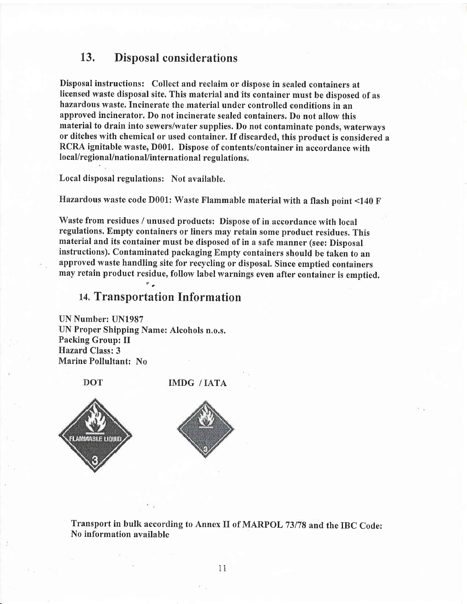### 13. Disposal considerations

Disposal instructions: Collect and reclaim or dispose in sealed containers at Iicensed waste disposal site. This material and its container must be disposed of as hazardous waste. Incinerate the material under controlled conditions in an approved incinerator. Do not incinerate sealed containers. Do not allow this material to drain into sewers/water supplies. Do not contaminate ponds, waterways or ditches with chemical or used container. If discarded, this product is considered <sup>a</sup> RCRA ignitable waste, D001. Dispose of contents/container in accordance with local/regional/nationaUinternational regulations.

Local disposal regulations: Not available.

Hazardous waste code D001: Waste Flammable material with a flash point <140 F

Waste from residues / unused products: Dispose of in accordance with local regulations. Empfy containers or liners may retain some product residues. This material and its container must be disposed of in a safe manner (see: Disposal instructions). Contaminated packaging Empty containers should be taken to an approved waste handling site for recycling or disposal. Since emptied containers may retain product residue, follow label warnings even after container is emptied.

### 14. Transportation Information

UN Number: UN1987 UN Proper Shipping Name: Alcohols n.o.s. Packing Group: II Hazard Class:3 Marine Pollultant: No

**DOT** 

IMDG / IATA





Transport in bulk according to Annex II of MARPOL 73/78 and the IBC Code: No information available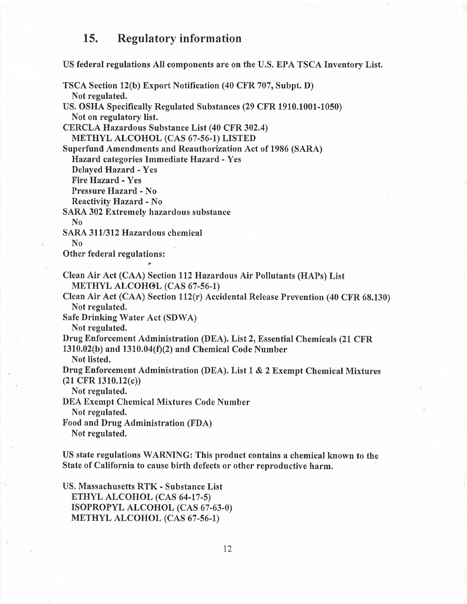### 15. Regulatory information

US federal regulations All components are on the U.S. EPA TSCA Inventory List.

TSCA Section lz(b) Export Notification (40 CFR 707, Subpt. D) Not regulated. US. OSHA Specifically Regulated Substances (29 CFR 1910.1001-1050) Not on regulatory list. CERCLA Hazardous Substance List (40 CFR 302,4) METHYL ALCOHOL (CAS 67-56-1) LISTED Superfund Amendments and Reauthorization Act of 1986 (SARA) Hazard. categories Immediate Hazard - Yes Delayed Hazard - Yes Fire Hazard - Yes Pressure Hazard - No Reactivity Hazard - No SARA 302 Extremely hazardous substance No SARA 311/312 Hazardous chemical<br>No Other federal regulations: Clean Air Act (CAA) Section ll2Hazardous Air Pollutants (HAPs) List METHYL ALCOHOL (CAS 67-56-1) Clean Air Act (CAA) Section 112(r) Accidental Release Prevention (40 CFR 68.130) Not regulated. Safe Drinking Water Act (SDWA) Not regulated. Drug Enforcement Administration (DEA). List 2, Essential Chemicals (21 CFR  $1310.02(b)$  and  $1310.04(f)(2)$  and Chemical Code Number Not listed. Drug Enforcement Administration (DEA). List 1 & 2 Exempt Chemical Mixtures (21 CFR 1310.12(c)) Not regulated. DEA Exempt Chemical Mixtures Code Number Not regulated. Food and Drug Administration (FDA) Not regulated. US state regulations WARNING: This product contains a chemical known to the State of California to cause birth defects or other reproductive harm.

US, Massachusetts RTK - Substance List ETHYL ALCOHOL (CAS 64-17-5) ISOPROPYL ALCOHOL (CAS 67-63-0) METHYL ALCOHOL (CAS 67-56-I\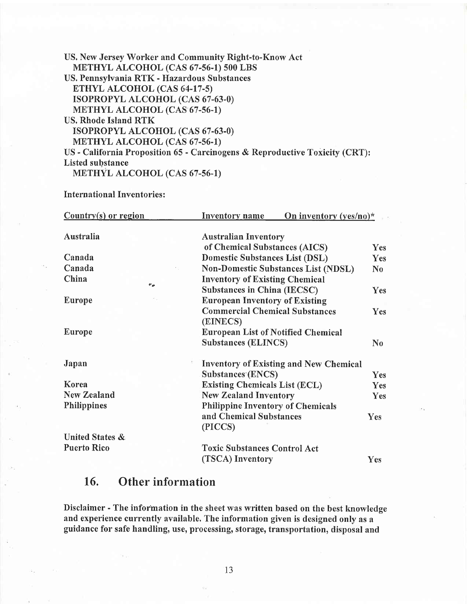| US. New Jersey Worker and Community Right-to-Know Act                       |
|-----------------------------------------------------------------------------|
| METHYL ALCOHOL (CAS 67-56-1) 500 LBS                                        |
| US. Pennsylvania RTK - Hazardous Substances                                 |
| ETHYL ALCOHOL (CAS 64-17-5)                                                 |
| ISOPROPYL ALCOHOL (CAS 67-63-0)                                             |
| METHYL ALCOHOL (CAS 67-56-1)                                                |
| US. Rhode Island RTK                                                        |
| ISOPROPYL ALCOHOL (CAS 67-63-0)                                             |
| METHYL ALCOHOL (CAS 67-56-1)                                                |
| US - California Proposition 65 - Carcinogens & Reproductive Toxicity (CRT): |
| <b>Listed substance</b>                                                     |
| <b>METHYL ALCOHOL (CAS 67-56-1)</b>                                         |

International Inventories :

| $Country(s)$ or region      |     | On inventory $(yes/no)*$<br>Inventory name        |            |
|-----------------------------|-----|---------------------------------------------------|------------|
| Australia                   |     | <b>Australian Inventory</b>                       |            |
|                             |     | of Chemical Substances (AICS)                     | <b>Yes</b> |
| Canada                      |     | <b>Domestic Substances List (DSL)</b>             | Yes        |
| Canada                      | 16. | <b>Non-Domestic Substances List (NDSL)</b>        | $\bf No$   |
| China<br>$\theta_{\rm eff}$ |     | <b>Inventory of Existing Chemical</b>             |            |
|                             |     | <b>Substances in China (IECSC)</b>                | Yes        |
| Europe                      |     | <b>European Inventory of Existing</b>             |            |
|                             |     | <b>Commercial Chemical Substances</b><br>(EINECS) | <b>Yes</b> |
| Europe                      |     | <b>European List of Notified Chemical</b>         |            |
|                             |     | <b>Substances (ELINCS)</b>                        | $\bf No$   |
| Japan                       |     | <b>Inventory of Existing and New Chemical</b>     |            |
|                             |     | <b>Substances (ENCS)</b>                          | Yes        |
| Korea                       |     | <b>Existing Chemicals List (ECL)</b>              | <b>Yes</b> |
| <b>New Zealand</b>          |     | <b>New Zealand Inventory</b>                      | Yes        |
| <b>Philippines</b>          |     | <b>Philippine Inventory of Chemicals</b>          |            |
|                             |     | and Chemical Substances<br>(PICCS)                | <b>Yes</b> |
| United States &             |     |                                                   |            |
| <b>Puerto Rico</b>          |     | <b>Toxic Substances Control Act</b>               |            |
|                             |     | (TSCA) Inventory                                  | Yes        |

# 16. Other information

s.

Disclaimer - The information in the sheet was written based on the best knowledge and experience currently available. The information given is designed only as <sup>a</sup> guidance for safe handling, use, processing, storage, transportation, disposal and